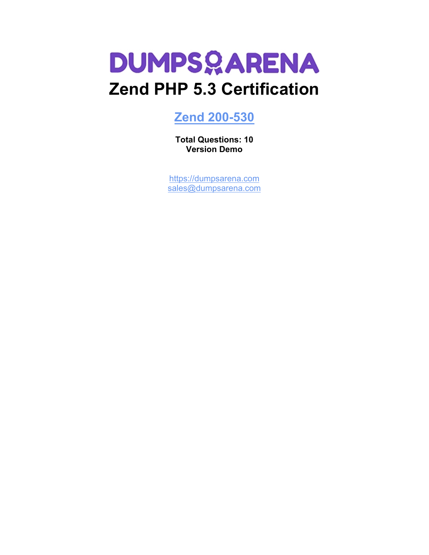

## **[Zend 200-530](https://dumpsarena.com/exam/200-530/)**

**Total Questions: 10 Version Demo**

[https://dumpsarena.com](https://dumpsarena.com/) [sales@dumpsarena.com](mailto:sales@dumpsarena.com)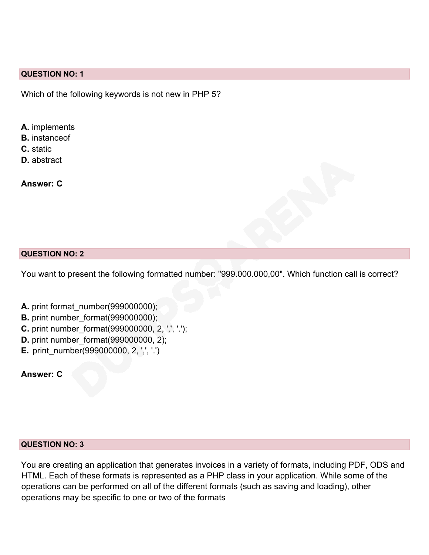#### **QUESTION NO: 1**

Which of the following keywords is not new in PHP 5?

- **A.** implements
- **B.** instanceof
- **C.** static
- **D.** abstract

**Answer: C**

#### **QUESTION NO: 2**

You want to present the following formatted number: "999.000.000,00". Which function call is correct?

- **A.** print format\_number(999000000);
- **B.** print number format(999000000);
- **C.** print number format(999000000, 2, ',', '.');
- **D.** print number format(999000000, 2);
- **E.** print\_number(999000000, 2, ',', '.')

**Answer: C**

#### **QUESTION NO: 3**

You are creating an application that generates invoices in a variety of formats, including PDF, ODS and HTML. Each of these formats is represented as a PHP class in your application. While some of the operations can be performed on all of the different formats (such as saving and loading), other operations may be specific to one or two of the formats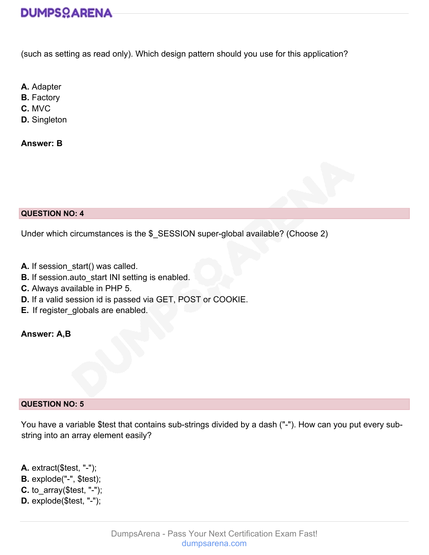# **DUMPSOARENA**

(such as setting as read only). Which design pattern should you use for this application?

**A.** Adapter

**B.** Factory

**C.** MVC

**D.** Singleton

**Answer: B**

#### **QUESTION NO: 4**

Under which circumstances is the \$\_SESSION super-global available? (Choose 2)

- **A.** If session start() was called.
- **B.** If session.auto start INI setting is enabled.
- **C.** Always available in PHP 5.
- **D.** If a valid session id is passed via GET, POST or COOKIE.
- **E.** If register\_globals are enabled.

## **Answer: A,B**

#### **QUESTION NO: 5**

You have a variable \$test that contains sub-strings divided by a dash ("-"). How can you put every substring into an array element easily?

- **A.** extract(\$test, "-");
- **B.** explode("-", \$test);
- **C.** to\_array(\$test, "-");
- **D.** explode(\$test, "-");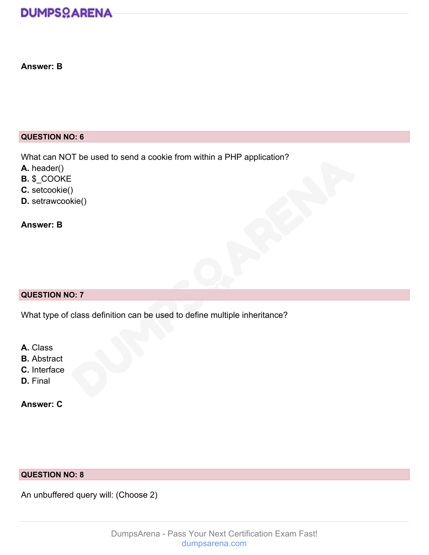# **DUMPSOARENA**

## **Answer: B**

### **QUESTION NO: 6**

What can NOT be used to send a cookie from within a PHP application?

- **A.** header()
- **B.** \$\_COOKE
- **C.** setcookie()
- **D.** setrawcookie()

## **Answer: B**

## **QUESTION NO: 7**

What type of class definition can be used to define multiple inheritance?

- **A.** Class
- **B.** Abstract
- **C.** Interface
- **D.** Final

## **Answer: C**

## **QUESTION NO: 8**

An unbuffered query will: (Choose 2)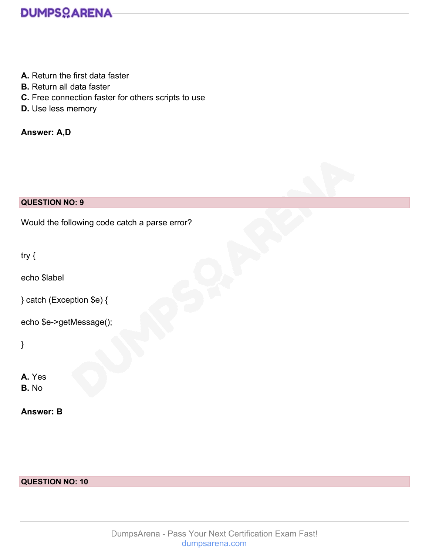

- **A.** Return the first data faster
- **B.** Return all data faster
- **C.** Free connection faster for others scripts to use
- **D.** Use less memory

**Answer: A,D**

### **QUESTION NO: 9**

Would the following code catch a parse error?

try {

echo \$label

} catch (Exception \$e) {

echo \$e->getMessage();

}

**A.** Yes **B.** No

**Answer: B**

#### **QUESTION NO: 10**